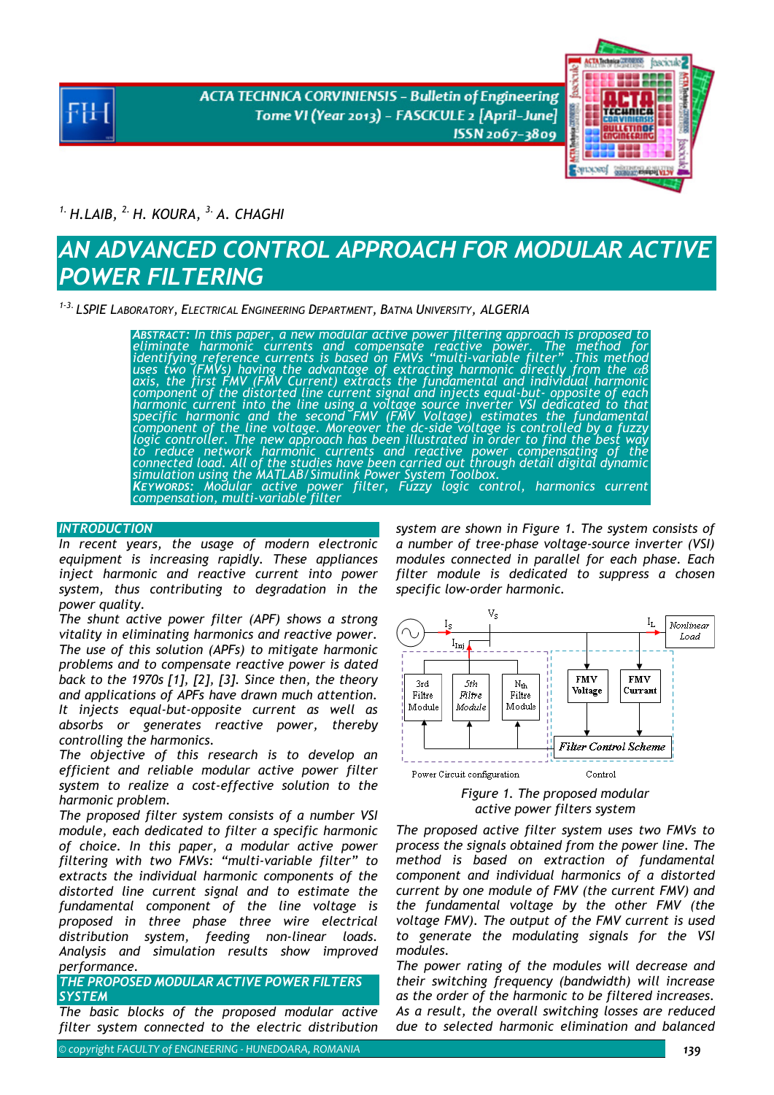**ACTA TECHNICA CORVINIENSIS - Bulletin of Engineering** Tome VI (Year 2013) - FASCICULE 2 [April-June] ISSN 2067-3809



*1. H.LAIB, 2. H. KOURA, 3. A. CHAGHI* 

# *AN ADVANCED CONTROL APPROACH FOR MODULAR ACTIVE POWER FILTERING*

*1-3. LSPIE LABORATORY, ELECTRICAL ENGINEERING DEPARTMENT, BATNA UNIVERSITY, ALGERIA* 

*ABSTRACT: In this paper, a new modular active power filtering approach is proposed to eliminate harmonic currents and compensate reactive power. The method for identifying reference currents is based on FMVs "multi-variable filter" .This method uses two (FMVs) having the advantage of extracting harmonic directly from the* α*<sup>β</sup>* axis, the first FMV (FMV Current) extracts the fundamental and individual harmonic<br>component of the distorted line current signal and injects equal-but- opposite of each<br>harmonic current into the line using a voltage sourc logic controller. The new approach has been illustrated in order to find the best way<br>to reduce network harmonic currents and reactive power compensating of the<br>connected load. All of the studies have been carried out thro *KEYWORDS: Modular active power filter, Fuzzy logic control, harmonics current compensation, multi-variable filter* 

## *INTRODUCTION*

*In recent years, the usage of modern electronic equipment is increasing rapidly. These appliances inject harmonic and reactive current into power system, thus contributing to degradation in the power quality.* 

*The shunt active power filter (APF) shows a strong vitality in eliminating harmonics and reactive power. The use of this solution (APFs) to mitigate harmonic problems and to compensate reactive power is dated back to the 1970s [1], [2], [3]. Since then, the theory and applications of APFs have drawn much attention. It injects equal-but-opposite current as well as absorbs or generates reactive power, thereby controlling the harmonics.* 

*The objective of this research is to develop an efficient and reliable modular active power filter system to realize a cost-effective solution to the harmonic problem.* 

*The proposed filter system consists of a number VSI module, each dedicated to filter a specific harmonic of choice. In this paper, a modular active power filtering with two FMVs: "multi-variable filter" to extracts the individual harmonic components of the distorted line current signal and to estimate the fundamental component of the line voltage is proposed in three phase three wire electrical distribution system, feeding non-linear loads. Analysis and simulation results show improved performance.* 

# *THE PROPOSED MODULAR ACTIVE POWER FILTERS SYSTEM*

*The basic blocks of the proposed modular active filter system connected to the electric distribution* 

*system are shown in Figure 1. The system consists of a number of tree-phase voltage-source inverter (VSI) modules connected in parallel for each phase. Each filter module is dedicated to suppress a chosen specific low-order harmonic.* 



*Figure 1. The proposed modular active power filters system* 

*The proposed active filter system uses two FMVs to process the signals obtained from the power line. The method is based on extraction of fundamental component and individual harmonics of a distorted current by one module of FMV (the current FMV) and the fundamental voltage by the other FMV (the voltage FMV). The output of the FMV current is used to generate the modulating signals for the VSI modules.* 

*The power rating of the modules will decrease and their switching frequency (bandwidth) will increase as the order of the harmonic to be filtered increases. As a result, the overall switching losses are reduced due to selected harmonic elimination and balanced*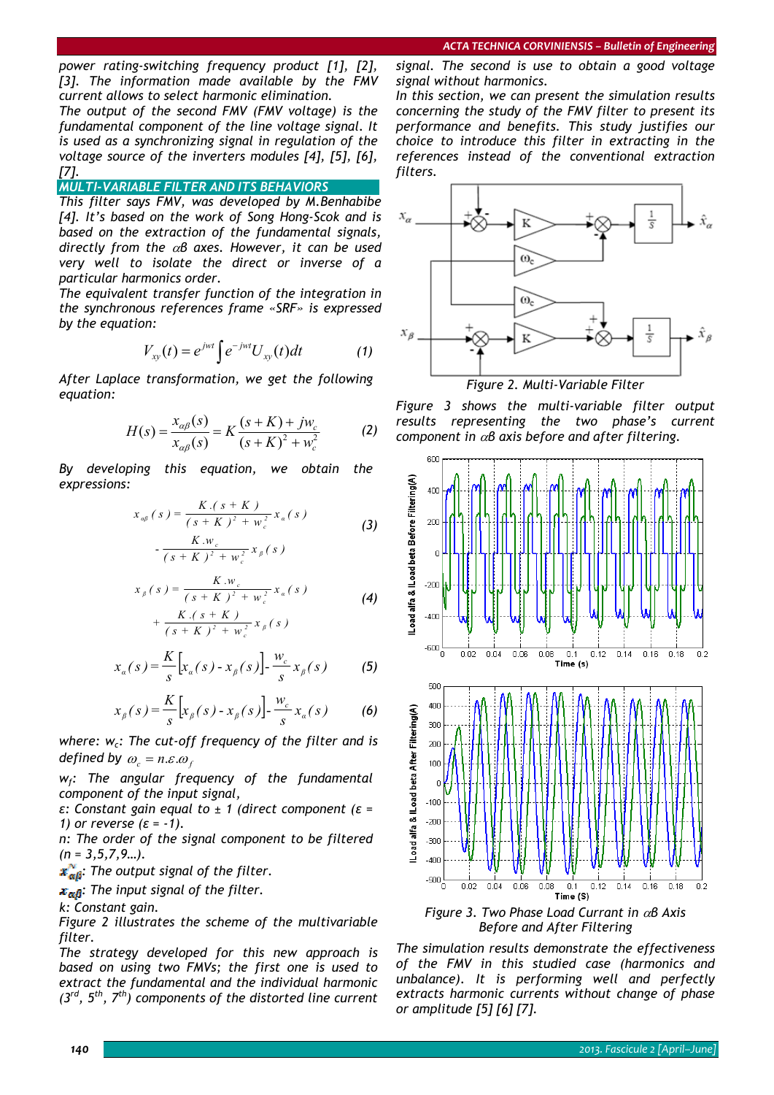*power rating-switching frequency product [1], [2], [3]. The information made available by the FMV current allows to select harmonic elimination.* 

*The output of the second FMV (FMV voltage) is the fundamental component of the line voltage signal. It is used as a synchronizing signal in regulation of the voltage source of the inverters modules [4], [5], [6], [7].* 

# *MULTI-VARIABLE FILTER AND ITS BEHAVIORS*

*This filter says FMV, was developed by M.Benhabibe [4]. It's based on the work of Song Hong-Scok and is based on the extraction of the fundamental signals, directly from the* α*β axes. However, it can be used very well to isolate the direct or inverse of a particular harmonics order.* 

*The equivalent transfer function of the integration in the synchronous references frame «SRF» is expressed by the equation:* 

$$
V_{xy}(t) = e^{jwt} \int e^{-jwt} U_{xy}(t) dt \qquad (1)
$$

*After Laplace transformation, we get the following equation:* 

$$
H(s) = \frac{x_{\alpha\beta}(s)}{x_{\alpha\beta}(s)} = K \frac{(s+K) + jw_c}{(s+K)^2 + w_c^2}
$$
 (2)

*By developing this equation, we obtain the expressions:* 

$$
x_{\alpha\beta}(s) = \frac{K.(s + K)}{(s + K)^2 + w_c^2} x_{\alpha}(s)
$$
 (3)

$$
-\frac{K \cdot w_c}{(s+K)^2 + w_c^2} x_\beta(s)
$$

$$
x_{\beta}(s) = \frac{K \cdot w_{c}}{(s+K)^{2} + w_{c}^{2}} x_{\alpha}(s)
$$
  
+ 
$$
\frac{K \cdot (s+K)}{(s+K)^{2} + w_{c}^{2}} x_{\beta}(s)
$$
 (4)

$$
x_{\alpha}(s) = \frac{K}{s} \Big[ x_{\alpha}(s) - x_{\beta}(s) \Big] - \frac{w_c}{s} x_{\beta}(s) \tag{5}
$$

$$
x_{\beta}(s) = \frac{K}{s} \Big[ x_{\beta}(s) - x_{\beta}(s) \Big] - \frac{w_c}{s} x_{\alpha}(s) \tag{6}
$$

where: w<sub>c</sub>: The cut-off frequency of the filter and is *defined by*  $\omega_c = n \varepsilon \omega_f$ 

*wf: The angular frequency of the fundamental component of the input signal,* 

*ε: Constant gain equal to ± 1 (direct component (ε = 1) or reverse (ε = -1).* 

*n: The order of the signal component to be filtered (n = 3,5,7,9…).* 

*: The output signal of the filter.* 

 $x_{\alpha\beta}$ : The input signal of the filter.

#### *k: Constant gain.*

*Figure 2 illustrates the scheme of the multivariable filter.* 

*The strategy developed for this new approach is based on using two FMVs; the first one is used to extract the fundamental and the individual harmonic (3rd, 5th, 7th) components of the distorted line current*  *signal. The second is use to obtain a good voltage signal without harmonics.* 

*In this section, we can present the simulation results concerning the study of the FMV filter to present its performance and benefits. This study justifies our choice to introduce this filter in extracting in the references instead of the conventional extraction filters.* 



*Figure 3 shows the multi-variable filter output results representing the two phase's current component in* α*β axis before and after filtering.* 



*Before and After Filtering* 

*The simulation results demonstrate the effectiveness of the FMV in this studied case (harmonics and unbalance). It is performing well and perfectly extracts harmonic currents without change of phase or amplitude [5] [6] [7].*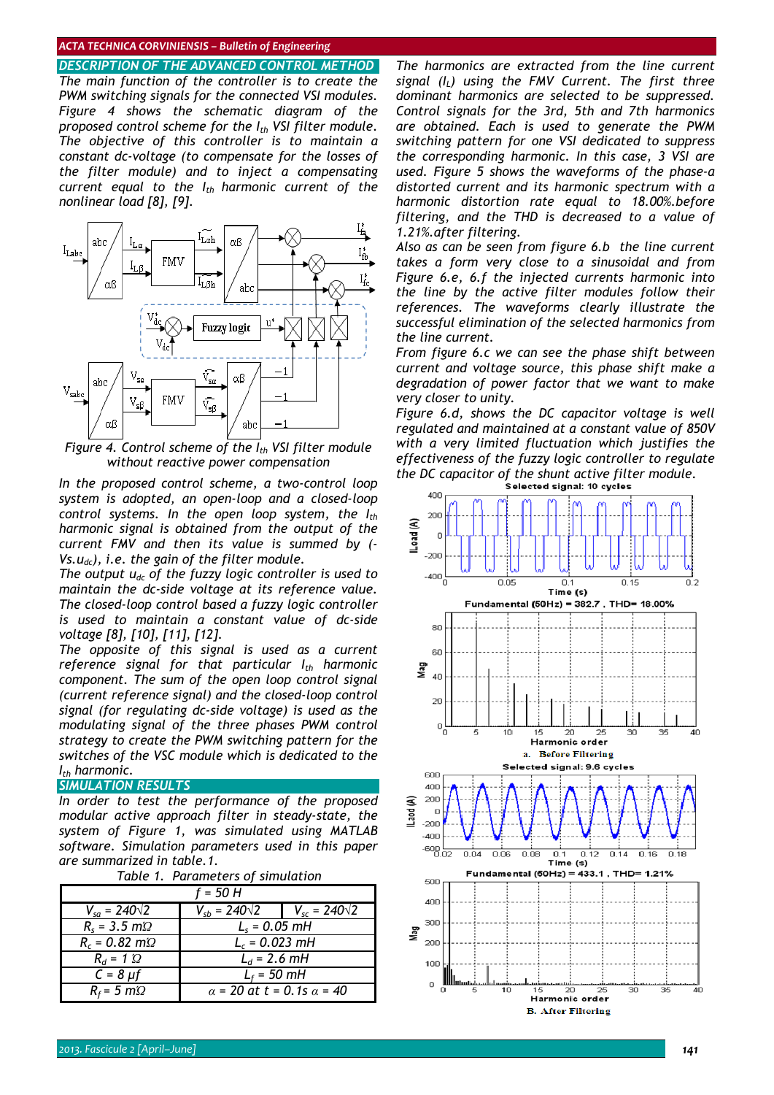### *ACTA TECHNICA CORVINIENSIS – Bulletin of Engineering*

*DESCRIPTION OF THE ADVANCED CONTROL METHOD The main function of the controller is to create the PWM switching signals for the connected VSI modules. Figure 4 shows the schematic diagram of the proposed control scheme for the I<sub>th</sub> VSI filter module. The objective of this controller is to maintain a constant dc-voltage (to compensate for the losses of the filter module) and to inject a compensating current equal to the I<sub>th</sub> harmonic current of the nonlinear load [8], [9].* 



*Figure 4. Control scheme of the I<sub>th</sub> VSI filter module without reactive power compensation* 

*In the proposed control scheme, a two-control loop system is adopted, an open-loop and a closed-loop control systems. In the open loop system, the Ith harmonic signal is obtained from the output of the current FMV and then its value is summed by (- Vs.udc), i.e. the gain of the filter module.* 

*The output udc of the fuzzy logic controller is used to maintain the dc-side voltage at its reference value. The closed-loop control based a fuzzy logic controller is used to maintain a constant value of dc-side voltage [8], [10], [11], [12].* 

*The opposite of this signal is used as a current*  reference signal for that particular I<sub>th</sub> harmonic *component. The sum of the open loop control signal (current reference signal) and the closed-loop control signal (for regulating dc-side voltage) is used as the modulating signal of the three phases PWM control strategy to create the PWM switching pattern for the switches of the VSC module which is dedicated to the Ith harmonic.* 

#### *SIMULATION RESULTS*

*In order to test the performance of the proposed modular active approach filter in steady-state, the system of Figure 1, was simulated using MATLAB software. Simulation parameters used in this paper are summarized in table.1.* 

*Table 1. Parameters of simulation* 

| f = 50 H                |                                         |                        |
|-------------------------|-----------------------------------------|------------------------|
| $V_{sa} = 240\sqrt{2}$  | $V_{sb} = 240\sqrt{2}$                  | $V_{sc} = 240\sqrt{2}$ |
| $R_s = 3.5$ m $\Omega$  | $L_s = 0.05$ mH                         |                        |
| $R_c = 0.82$ m $\Omega$ | $L_c = 0.023$ mH                        |                        |
| $R_d = 1$ $\Omega$      | $L_d = 2.6$ mH                          |                        |
| $C = 8 \mu f$           | $L_f$ = 50 mH                           |                        |
| $R_f$ = 5 m $\Omega$    | $\alpha$ = 20 at t = 0.1s $\alpha$ = 40 |                        |

*The harmonics are extracted from the line current signal (IL) using the FMV Current. The first three dominant harmonics are selected to be suppressed. Control signals for the 3rd, 5th and 7th harmonics are obtained. Each is used to generate the PWM switching pattern for one VSI dedicated to suppress the corresponding harmonic. In this case, 3 VSI are used. Figure 5 shows the waveforms of the phase-a distorted current and its harmonic spectrum with a harmonic distortion rate equal to 18.00%.before filtering, and the THD is decreased to a value of 1.21%.after filtering.* 

*Also as can be seen from figure 6.b the line current takes a form very close to a sinusoidal and from Figure 6.e, 6.f the injected currents harmonic into the line by the active filter modules follow their references. The waveforms clearly illustrate the successful elimination of the selected harmonics from the line current.* 

*From figure 6.c we can see the phase shift between current and voltage source, this phase shift make a degradation of power factor that we want to make very closer to unity.* 

*Figure 6.d, shows the DC capacitor voltage is well regulated and maintained at a constant value of 850V with a very limited fluctuation which justifies the effectiveness of the fuzzy logic controller to regulate the DC capacitor of the shunt active filter module.*

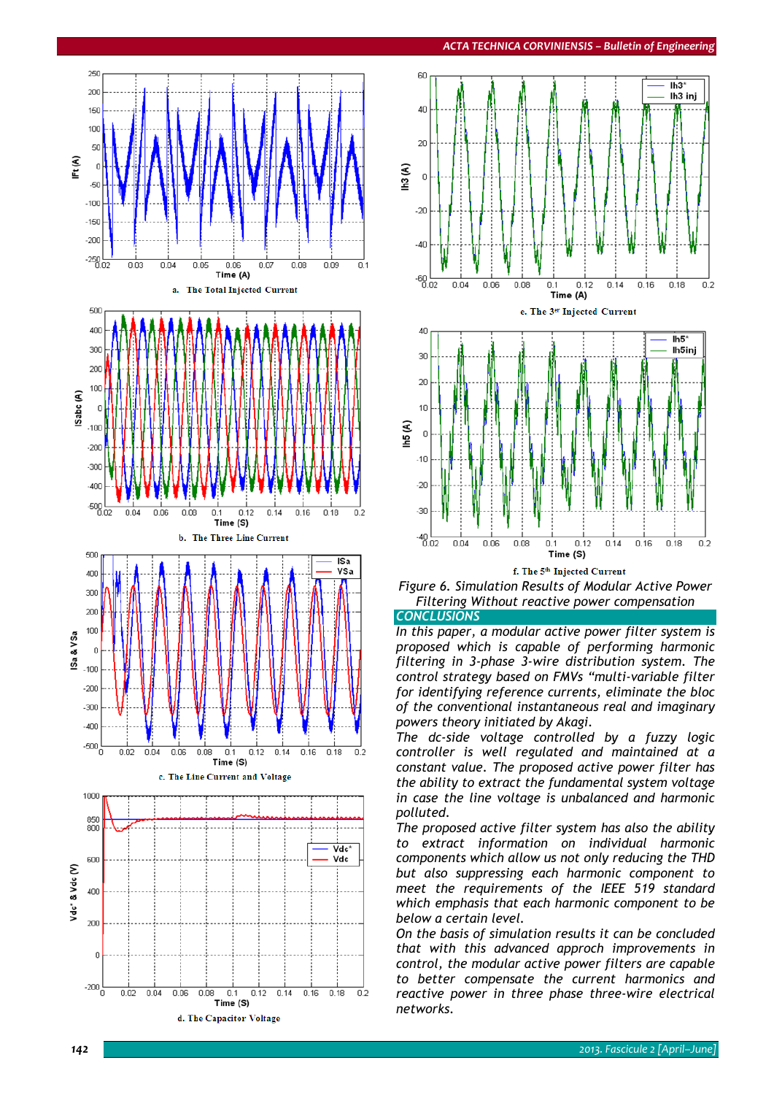

![](_page_3_Figure_2.jpeg)

f. The 5th Injected Current

![](_page_3_Figure_4.jpeg)

*CONCLUSIONS* 

*In this paper, a modular active power filter system is proposed which is capable of performing harmonic filtering in 3-phase 3-wire distribution system. The control strategy based on FMVs "multi-variable filter for identifying reference currents, eliminate the bloc of the conventional instantaneous real and imaginary powers theory initiated by Akagi.* 

*The dc-side voltage controlled by a fuzzy logic controller is well regulated and maintained at a constant value. The proposed active power filter has the ability to extract the fundamental system voltage in case the line voltage is unbalanced and harmonic polluted.* 

*The proposed active filter system has also the ability to extract information on individual harmonic components which allow us not only reducing the THD but also suppressing each harmonic component to meet the requirements of the IEEE 519 standard which emphasis that each harmonic component to be below a certain level.* 

*On the basis of simulation results it can be concluded that with this advanced approch improvements in control, the modular active power filters are capable to better compensate the current harmonics and reactive power in three phase three-wire electrical networks.*